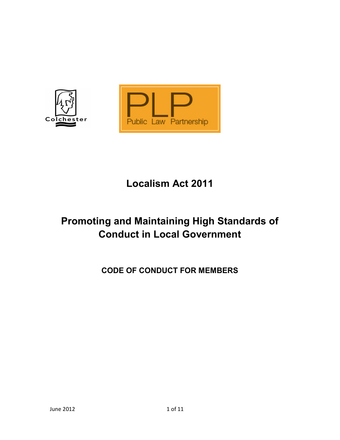

# Localism Act 2011

# Promoting and Maintaining High Standards of Conduct in Local Government

CODE OF CONDUCT FOR MEMBERS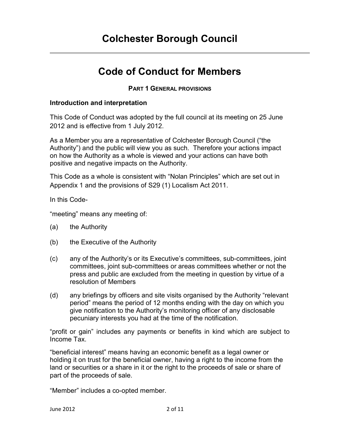## Colchester Borough Council

## Code of Conduct for Members

#### PART 1 GENERAL PROVISIONS

#### Introduction and interpretation

This Code of Conduct was adopted by the full council at its meeting on 25 June 2012 and is effective from 1 July 2012.

As a Member you are a representative of Colchester Borough Council ("the Authority") and the public will view you as such. Therefore your actions impact on how the Authority as a whole is viewed and your actions can have both positive and negative impacts on the Authority.

This Code as a whole is consistent with "Nolan Principles" which are set out in Appendix 1 and the provisions of S29 (1) Localism Act 2011.

In this Code-

"meeting" means any meeting of:

- (a) the Authority
- (b) the Executive of the Authority
- (c) any of the Authority's or its Executive's committees, sub-committees, joint committees, joint sub-committees or areas committees whether or not the press and public are excluded from the meeting in question by virtue of a resolution of Members
- (d) any briefings by officers and site visits organised by the Authority "relevant period" means the period of 12 months ending with the day on which you give notification to the Authority's monitoring officer of any disclosable pecuniary interests you had at the time of the notification.

"profit or gain" includes any payments or benefits in kind which are subject to Income Tax.

"beneficial interest" means having an economic benefit as a legal owner or holding it on trust for the beneficial owner, having a right to the income from the land or securities or a share in it or the right to the proceeds of sale or share of part of the proceeds of sale.

"Member" includes a co-opted member.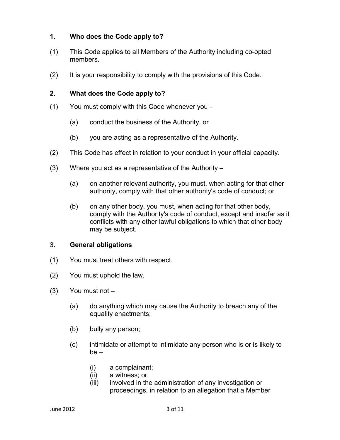### 1. Who does the Code apply to?

- (1) This Code applies to all Members of the Authority including co-opted members.
- (2) It is your responsibility to comply with the provisions of this Code.

#### 2. What does the Code apply to?

- (1) You must comply with this Code whenever you
	- (a) conduct the business of the Authority, or
	- (b) you are acting as a representative of the Authority.
- (2) This Code has effect in relation to your conduct in your official capacity.
- (3) Where you act as a representative of the Authority
	- (a) on another relevant authority, you must, when acting for that other authority, comply with that other authority's code of conduct; or
	- (b) on any other body, you must, when acting for that other body, comply with the Authority's code of conduct, except and insofar as it conflicts with any other lawful obligations to which that other body may be subject.

#### 3. General obligations

- (1) You must treat others with respect.
- (2) You must uphold the law.
- (3) You must not
	- (a) do anything which may cause the Authority to breach any of the equality enactments;
	- (b) bully any person;
	- (c) intimidate or attempt to intimidate any person who is or is likely to be –
		- (i) a complainant;
		- (ii) a witness; or
		- (iii) involved in the administration of any investigation or proceedings, in relation to an allegation that a Member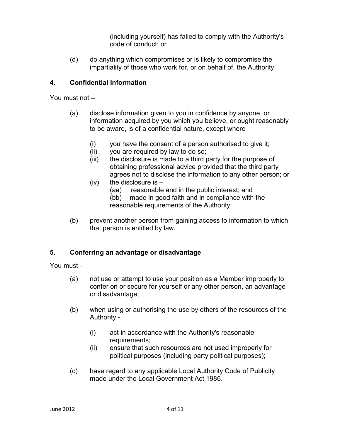(including yourself) has failed to comply with the Authority's code of conduct; or

(d) do anything which compromises or is likely to compromise the impartiality of those who work for, or on behalf of, the Authority.

### 4. Confidential Information

You must not –

- (a) disclose information given to you in confidence by anyone, or information acquired by you which you believe, or ought reasonably to be aware, is of a confidential nature, except where –
	- (i) you have the consent of a person authorised to give it;
	- (ii) you are required by law to do so;
	- (iii) the disclosure is made to a third party for the purpose of obtaining professional advice provided that the third party agrees not to disclose the information to any other person; or
	- $(iv)$  the disclosure is
		- (aa) reasonable and in the public interest; and
		- (bb) made in good faith and in compliance with the reasonable requirements of the Authority:
- (b) prevent another person from gaining access to information to which that person is entitled by law.

## 5. Conferring an advantage or disadvantage

You must -

- (a) not use or attempt to use your position as a Member improperly to confer on or secure for yourself or any other person, an advantage or disadvantage;
- (b) when using or authorising the use by others of the resources of the Authority -
	- (i) act in accordance with the Authority's reasonable requirements;
	- (ii) ensure that such resources are not used improperly for political purposes (including party political purposes);
- (c) have regard to any applicable Local Authority Code of Publicity made under the Local Government Act 1986.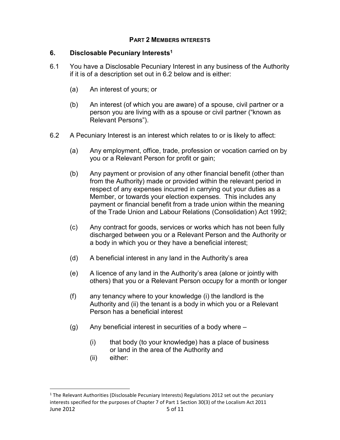#### PART 2 MEMBERS INTERESTS

#### 6. Disclosable Pecuniary Interests<sup>1</sup>

- 6.1 You have a Disclosable Pecuniary Interest in any business of the Authority if it is of a description set out in 6.2 below and is either:
	- (a) An interest of yours; or
	- (b) An interest (of which you are aware) of a spouse, civil partner or a person you are living with as a spouse or civil partner ("known as Relevant Persons").
- 6.2 A Pecuniary Interest is an interest which relates to or is likely to affect:
	- (a) Any employment, office, trade, profession or vocation carried on by you or a Relevant Person for profit or gain;
	- (b) Any payment or provision of any other financial benefit (other than from the Authority) made or provided within the relevant period in respect of any expenses incurred in carrying out your duties as a Member, or towards your election expenses. This includes any payment or financial benefit from a trade union within the meaning of the Trade Union and Labour Relations (Consolidation) Act 1992;
	- (c) Any contract for goods, services or works which has not been fully discharged between you or a Relevant Person and the Authority or a body in which you or they have a beneficial interest;
	- (d) A beneficial interest in any land in the Authority's area
	- (e) A licence of any land in the Authority's area (alone or jointly with others) that you or a Relevant Person occupy for a month or longer
	- (f) any tenancy where to your knowledge (i) the landlord is the Authority and (ii) the tenant is a body in which you or a Relevant Person has a beneficial interest
	- (g) Any beneficial interest in securities of a body where
		- (i) that body (to your knowledge) has a place of business or land in the area of the Authority and
		- (ii) either:

-

June 2012 5 of 11 <sup>1</sup> The Relevant Authorities (Disclosable Pecuniary Interests) Regulations 2012 set out the pecuniary interests specified for the purposes of Chapter 7 of Part 1 Section 30(3) of the Localism Act 2011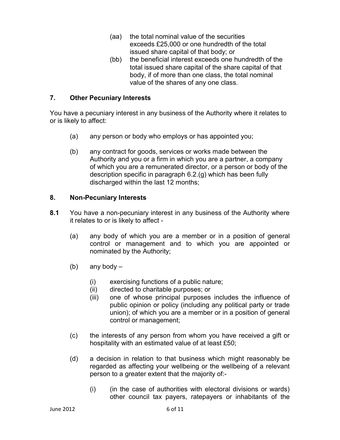- (aa) the total nominal value of the securities exceeds £25,000 or one hundredth of the total issued share capital of that body; or
- (bb) the beneficial interest exceeds one hundredth of the total issued share capital of the share capital of that body, if of more than one class, the total nominal value of the shares of any one class.

#### 7. Other Pecuniary Interests

You have a pecuniary interest in any business of the Authority where it relates to or is likely to affect:

- (a) any person or body who employs or has appointed you;
- (b) any contract for goods, services or works made between the Authority and you or a firm in which you are a partner, a company of which you are a remunerated director, or a person or body of the description specific in paragraph 6.2.(g) which has been fully discharged within the last 12 months;

#### 8. Non-Pecuniary Interests

- 8.1 You have a non-pecuniary interest in any business of the Authority where it relates to or is likely to affect -
	- (a) any body of which you are a member or in a position of general control or management and to which you are appointed or nominated by the Authority;
	- (b) any body  $-$ 
		- (i) exercising functions of a public nature;
		- (ii) directed to charitable purposes; or
		- (iii) one of whose principal purposes includes the influence of public opinion or policy (including any political party or trade union); of which you are a member or in a position of general control or management;
	- (c) the interests of any person from whom you have received a gift or hospitality with an estimated value of at least £50;
	- (d) a decision in relation to that business which might reasonably be regarded as affecting your wellbeing or the wellbeing of a relevant person to a greater extent that the majority of:-
		- (i) (in the case of authorities with electoral divisions or wards) other council tax payers, ratepayers or inhabitants of the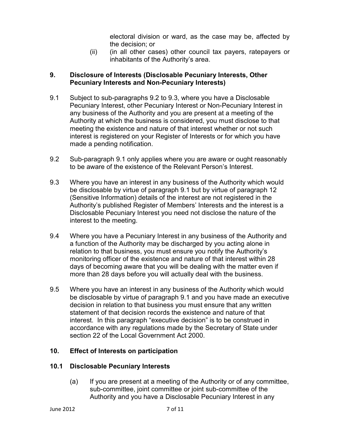electoral division or ward, as the case may be, affected by the decision; or

(ii) (in all other cases) other council tax payers, ratepayers or inhabitants of the Authority's area.

### 9. Disclosure of Interests (Disclosable Pecuniary Interests, Other Pecuniary Interests and Non-Pecuniary Interests)

- 9.1 Subject to sub-paragraphs 9.2 to 9.3, where you have a Disclosable Pecuniary Interest, other Pecuniary Interest or Non-Pecuniary Interest in any business of the Authority and you are present at a meeting of the Authority at which the business is considered, you must disclose to that meeting the existence and nature of that interest whether or not such interest is registered on your Register of Interests or for which you have made a pending notification.
- 9.2 Sub-paragraph 9.1 only applies where you are aware or ought reasonably to be aware of the existence of the Relevant Person's Interest.
- 9.3 Where you have an interest in any business of the Authority which would be disclosable by virtue of paragraph 9.1 but by virtue of paragraph 12 (Sensitive Information) details of the interest are not registered in the Authority's published Register of Members' Interests and the interest is a Disclosable Pecuniary Interest you need not disclose the nature of the interest to the meeting.
- 9.4 Where you have a Pecuniary Interest in any business of the Authority and a function of the Authority may be discharged by you acting alone in relation to that business, you must ensure you notify the Authority's monitoring officer of the existence and nature of that interest within 28 days of becoming aware that you will be dealing with the matter even if more than 28 days before you will actually deal with the business.
- 9.5 Where you have an interest in any business of the Authority which would be disclosable by virtue of paragraph 9.1 and you have made an executive decision in relation to that business you must ensure that any written statement of that decision records the existence and nature of that interest. In this paragraph "executive decision" is to be construed in accordance with any regulations made by the Secretary of State under section 22 of the Local Government Act 2000.

## 10. Effect of Interests on participation

## 10.1 Disclosable Pecuniary Interests

(a) If you are present at a meeting of the Authority or of any committee, sub-committee, joint committee or joint sub-committee of the Authority and you have a Disclosable Pecuniary Interest in any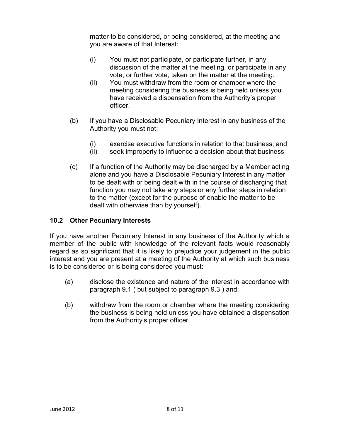matter to be considered, or being considered, at the meeting and you are aware of that Interest:

- (i) You must not participate, or participate further, in any discussion of the matter at the meeting, or participate in any vote, or further vote, taken on the matter at the meeting.
- (ii) You must withdraw from the room or chamber where the meeting considering the business is being held unless you have received a dispensation from the Authority's proper officer.
- (b) If you have a Disclosable Pecuniary Interest in any business of the Authority you must not:
	- (i) exercise executive functions in relation to that business; and
	- (ii) seek improperly to influence a decision about that business
- (c) If a function of the Authority may be discharged by a Member acting alone and you have a Disclosable Pecuniary Interest in any matter to be dealt with or being dealt with in the course of discharging that function you may not take any steps or any further steps in relation to the matter (except for the purpose of enable the matter to be dealt with otherwise than by yourself).

## 10.2 Other Pecuniary Interests

If you have another Pecuniary Interest in any business of the Authority which a member of the public with knowledge of the relevant facts would reasonably regard as so significant that it is likely to prejudice your judgement in the public interest and you are present at a meeting of the Authority at which such business is to be considered or is being considered you must:

- (a) disclose the existence and nature of the interest in accordance with paragraph 9.1 ( but subject to paragraph 9.3 ) and;
- (b) withdraw from the room or chamber where the meeting considering the business is being held unless you have obtained a dispensation from the Authority's proper officer.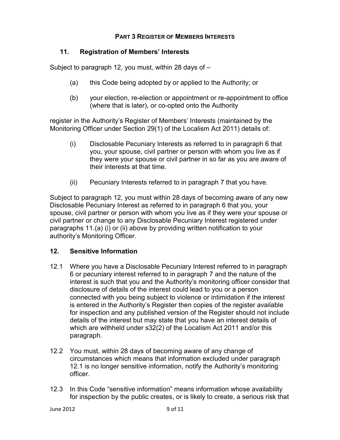#### PART 3 REGISTER OF MEMBERS INTERESTS

#### 11. Registration of Members' Interests

Subject to paragraph 12, you must, within 28 days of  $-$ 

- (a) this Code being adopted by or applied to the Authority; or
- (b) your election, re-election or appointment or re-appointment to office (where that is later), or co-opted onto the Authority

register in the Authority's Register of Members' Interests (maintained by the Monitoring Officer under Section 29(1) of the Localism Act 2011) details of:

- (i) Disclosable Pecuniary Interests as referred to in paragraph 6 that you, your spouse, civil partner or person with whom you live as if they were your spouse or civil partner in so far as you are aware of their interests at that time.
- (ii) Pecuniary Interests referred to in paragraph 7 that you have.

Subject to paragraph 12, you must within 28 days of becoming aware of any new Disclosable Pecuniary Interest as referred to in paragraph 6 that you, your spouse, civil partner or person with whom you live as if they were your spouse or civil partner or change to any Disclosable Pecuniary Interest registered under paragraphs 11.(a) (i) or (ii) above by providing written notification to your authority's Monitoring Officer.

#### 12. Sensitive Information

- 12.1 Where you have a Disclosable Pecuniary Interest referred to in paragraph 6 or pecuniary interest referred to in paragraph 7 and the nature of the interest is such that you and the Authority's monitoring officer consider that disclosure of details of the interest could lead to you or a person connected with you being subject to violence or intimidation if the interest is entered in the Authority's Register then copies of the register available for inspection and any published version of the Register should not include details of the interest but may state that you have an interest details of which are withheld under s32(2) of the Localism Act 2011 and/or this paragraph.
- 12.2 You must, within 28 days of becoming aware of any change of circumstances which means that information excluded under paragraph 12.1 is no longer sensitive information, notify the Authority's monitoring officer.
- 12.3 In this Code "sensitive information" means information whose availability for inspection by the public creates, or is likely to create, a serious risk that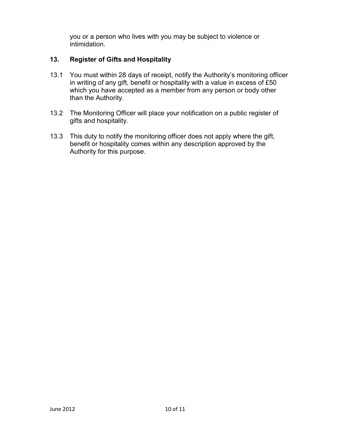you or a person who lives with you may be subject to violence or intimidation.

## 13. Register of Gifts and Hospitality

- 13.1 You must within 28 days of receipt, notify the Authority's monitoring officer in writing of any gift, benefit or hospitality with a value in excess of £50 which you have accepted as a member from any person or body other than the Authority.
- 13.2 The Monitoring Officer will place your notification on a public register of gifts and hospitality.
- 13.3 This duty to notify the monitoring officer does not apply where the gift, benefit or hospitality comes within any description approved by the Authority for this purpose.